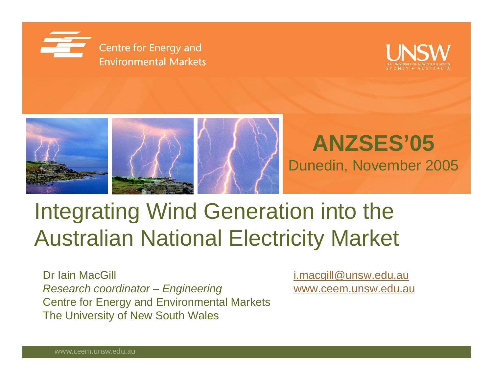





### **ANZSES'05** Dunedin, November 2005

# Integrating Wind Generation into the Australian National Electricity Market

Dr Iain MacGill **[i.macgill@unsw.edu.au](mailto:i.macgill@unsw.edu.au)** *Research coordinator – Engineering* [www.ceem.unsw.edu.au](http://www.ceem.unsw.edu.au/) Centre for Energy and Environmental Markets The University of New South Wales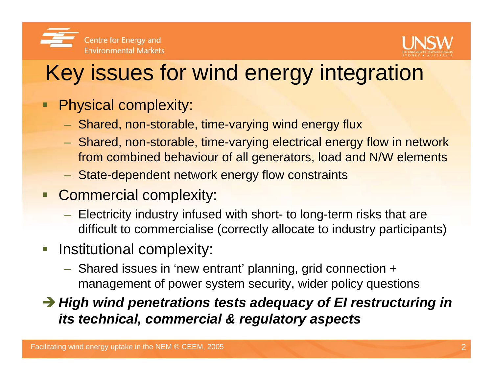



# Key issues for wind energy integration

- Physical complexity:
	- $-$  Shared, non-storable, time-varying wind energy flux
	- Shared, non-storable, time-varying electrical energy flow in network from combined behaviour of all generators, load and N/W elements
	- State-dependent network energy flow constraints
- **Commercial complexity:** 
	- Electricity industry infused with short- to long-term risks that are difficult to commercialise (correctly allocate to industry participants)
- **Institutional complexity:** 
	- Shared issues in 'new entrant' planning, grid connection + management of power system security, wider policy questions

**→ High wind penetrations tests adequacy of EI restructuring in** *its technical, commercial & regulatory aspects*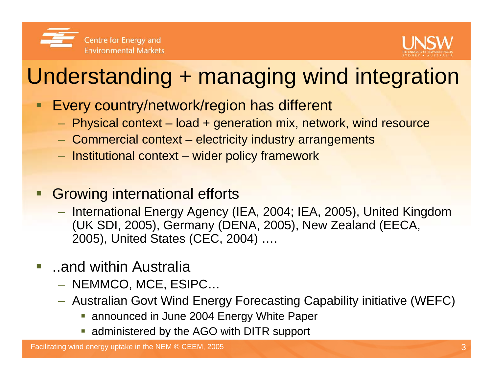



# Understanding + managing wind integration

- Every country/network/region has different
	- $-$  Physical context load + generation mix, network, wind resource
	- Commercial context electricity industry arrangements
	- $-$  Institutional context wider policy framework
- Growing international efforts
	- International Energy Agency (IEA, 2004; IEA, 2005), United Kingdom (UK SDI, 2005), Germany (DENA, 2005), New Zealand (EECA, 2005), United States (CEC, 2004) ….
- ..and within Australia
	- NEMMCO, MCE, ESIPC…
	- Australian Govt Wind Energy Forecasting Capability initiative (WEFC)
		- **announced in June 2004 Energy White Paper**
		- **administered by the AGO with DITR support**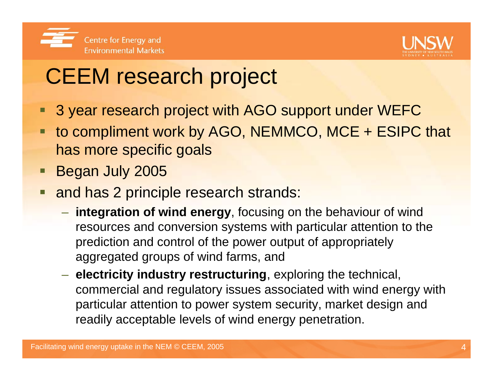



# CEEM research project

- 3 year research project with AGO support under WEFC
- to compliment work by AGO, NEMMCO, MCE + ESIPC that has more specific goals
- **Began July 2005**
- h. and has 2 principle research strands:
	- **integration of wind energy**, focusing on the behaviour of wind resources and conversion systems with particular attention to the prediction and control of the power output of appropriately aggregated groups of wind farms, and
	- $\mathcal{L}_{\mathcal{A}}$  , and the set of the set of the set of the set of the set of the set of the set of the set of the set of the set of the set of the set of the set of the set of the set of the set of the set of the set of th **electricity industry restructuring**, exploring the technical, commercial and regulatory issues associated with wind energy with particular attention to power system security, market design and readily acceptable levels of wind energy penetration.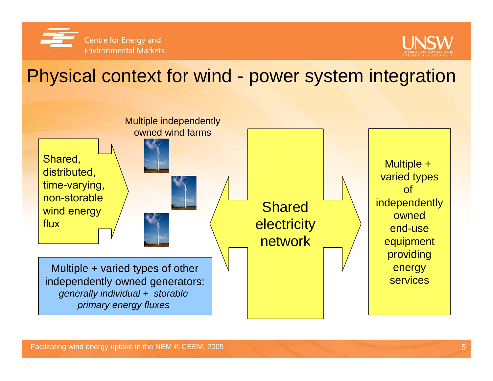



### Physical context for wind - power system integration

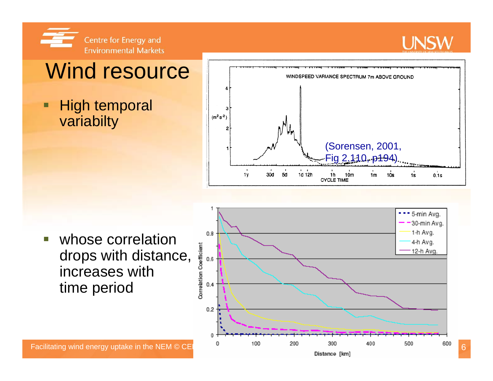



### Wind resource

#### г High temporal variabilty



 whose correlation drops with distance, increases with time period



Distance [km]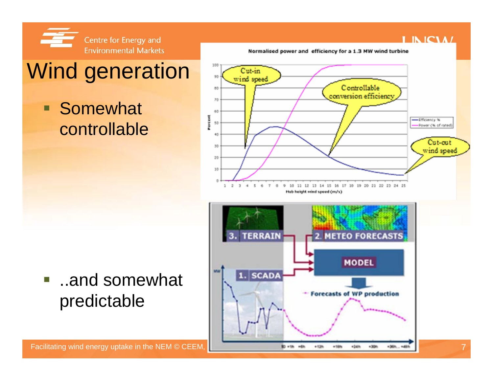![](_page_6_Picture_0.jpeg)

# Wind generation

#### $\blacksquare$ **Somewhat** controllable

![](_page_6_Figure_3.jpeg)

![](_page_6_Figure_4.jpeg)

#### $\overline{\phantom{a}}$  ..and somewhat predictable

**LINICIAL** 

#### Normalised power and efficiency for a 1.3 MW wind turbine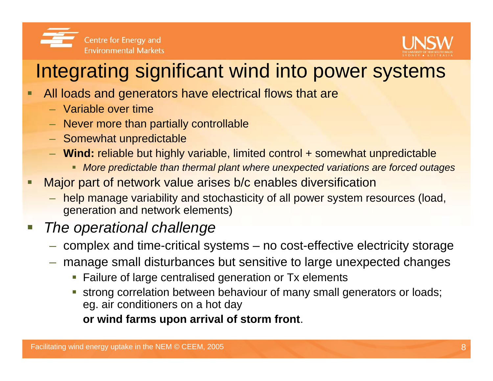![](_page_7_Picture_0.jpeg)

![](_page_7_Picture_1.jpeg)

### Integrating significant wind into power systems

- $\blacksquare$  All loads and generators have electrical flows that are
	- Variable over time
	- Never more than partially controllable
	- Somewhat unpredictable
	- **Wind:** reliable but highly variable, limited control + somewhat unpredictable
		- ٠ *More predictable than thermal plant where unexpected variations are forced outages*
- $\blacksquare$  Major part of network value arises b/c enables diversification
	- help manage variability and stochasticity of all power system resources (load, generation and network elements)

### *The operational challenge*

- $-$  complex and time-critical systems no cost-effective electricity storage
- manage small disturbances but sensitive to large unexpected changes
	- **Failure of large centralised generation or Tx elements**
	- г strong correlation between behaviour of many small generators or loads; eg. air conditioners on a hot day

**or wind farms upon arrival of storm front**.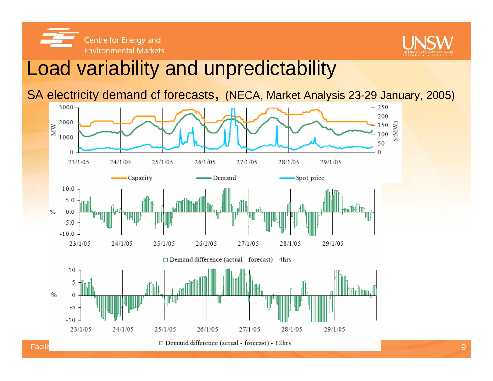![](_page_8_Picture_0.jpeg)

![](_page_8_Picture_1.jpeg)

### Load variability and unpredictability

SA electricity demand cf forecasts, (NECA, Market Analysis 23-29 January, 2005)

![](_page_8_Figure_4.jpeg)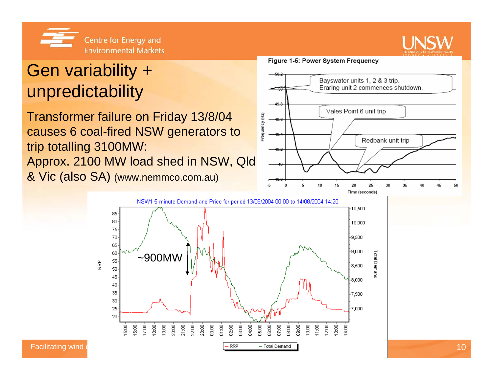![](_page_9_Picture_0.jpeg)

![](_page_9_Picture_1.jpeg)

### Gen variability + unpredictability

Transformer failure on Friday 13/8/04 causes 6 coal-fired NSW generators to trip totalling 3100MW: Approx. 2100 MW load shed in NSW, Qld & Vic (also SA) (www.nemmco.com.au)

#### Figure 1-5: Power System Frequency

![](_page_9_Figure_5.jpeg)

![](_page_9_Figure_6.jpeg)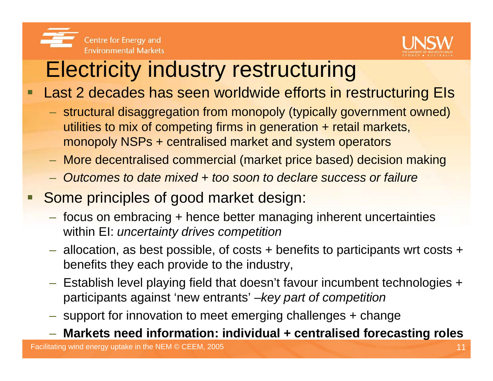![](_page_10_Picture_0.jpeg)

![](_page_10_Picture_1.jpeg)

### Electricity industry restructuring

Last 2 decades has seen worldwide efforts in restructuring EIs

- structural disaggregation from monopoly (typically government owned) utilities to mix of competing firms in generation + retail markets, monopoly NSPs + centralised market and system operators
- More decentralised commercial (market price based) decision making
- *Outcomes to date mixed + too soon to declare success or failure*
- **Some principles of good market design:** 
	- focus on embracing + hence better managing inherent uncertainties within EI: *uncertainty drives competition*
	- allocation, as best possible, of costs + benefits to participants wrt costs + benefits they each provide to the industry,
	- Establish level playing field that doesn't favour incumbent technologies + participants against 'new entrants' –*key part of competition*
	- $-$  support for innovation to meet emerging challenges + change
	- **Markets need information: individual + centralised forecasting roles**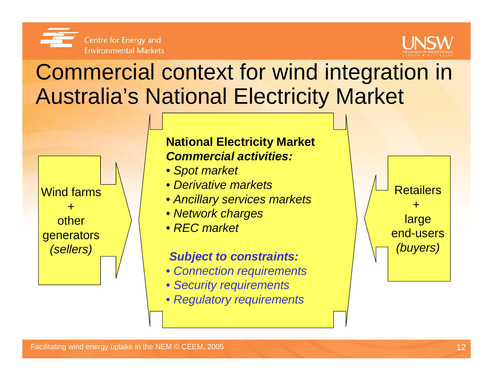![](_page_11_Picture_0.jpeg)

![](_page_11_Picture_1.jpeg)

## Commercial context for wind integration in Australia's National Electricity Market

![](_page_11_Figure_3.jpeg)

#### **National Electricity Market** *Commercial activities:*

- *Spot market*
- *Derivative markets*
- *Ancillary services markets*
- *Network charges*
- *REC market*

#### *Subject to constraints:*

- *Connection requirements*
- *Security requirements*
- *Regulatory requirements*

![](_page_11_Figure_14.jpeg)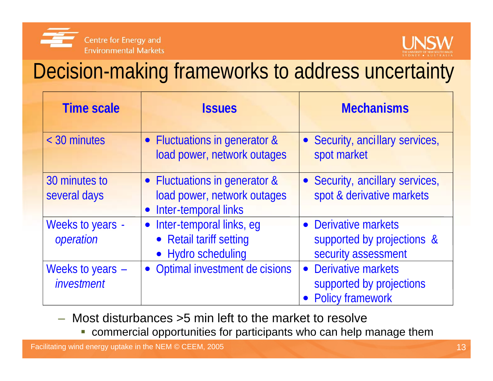![](_page_12_Picture_0.jpeg)

![](_page_12_Picture_1.jpeg)

### Decision-making frameworks to address uncertainty

| <b>Time scale</b>                | <b>Issues</b>                                                                          | <b>Mechanisms</b>                                                         |
|----------------------------------|----------------------------------------------------------------------------------------|---------------------------------------------------------------------------|
| < 30 minutes                     | • Fluctuations in generator &<br>load power, network outages                           | • Security, ancillary services,<br>spot market                            |
| 30 minutes to<br>several days    | • Fluctuations in generator &<br>load power, network outages<br>Inter-temporal links   | • Security, ancillary services,<br>spot & derivative markets              |
| Weeks to years -<br>operation    | Inter-temporal links, eg<br>$\bullet$<br>• Retail tariff setting<br>• Hydro scheduling | • Derivative markets<br>supported by projections &<br>security assessment |
| Weeks to years $-$<br>investment | • Optimal investment de cisions                                                        | • Derivative markets<br>supported by projections<br>• Policy framework    |

- $\sim$  Most disturbances >5 min left to the market to resolve
	- $\mathcal{L}_{\mathcal{A}}$ commercial opportunities for participants who can help manage them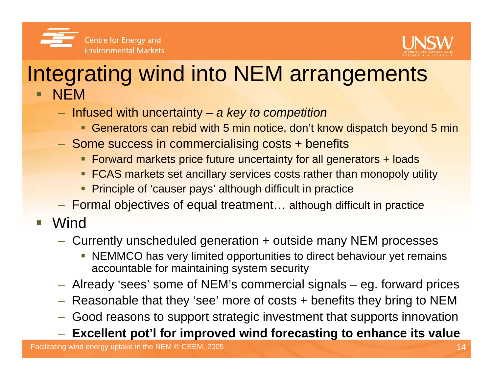![](_page_13_Picture_0.jpeg)

![](_page_13_Picture_1.jpeg)

### Integrating wind into NEM arrangements NEM

- Infused with uncertainty *a key to competition*
	- Generators can rebid with 5 min notice, don't know dispatch beyond 5 min
- $-$  Some success in commercialising costs + benefits
	- Forward markets price future uncertainty for all generators + loads
	- **FCAS markets set ancillary services costs rather than monopoly utility**
	- **Principle of 'causer pays' although difficult in practice**
- Formal objectives of equal treatment… although difficult in practice
- $\overline{\phantom{a}}$ **Wind** 
	- Currently unscheduled generation + outside many NEM processes
		- NEMMCO has very limited opportunities to direct behaviour yet remains accountable for maintaining system security
	- Already 'sees' some of NEM's commercial signals eg. forward prices
	- Reasonable that they 'see' more of costs + benefits they bring to NEM
	- $-$  Good reasons to support strategic investment that supports innovation
	- **Excellent pot'l for improved wind forecasting to enhance its value**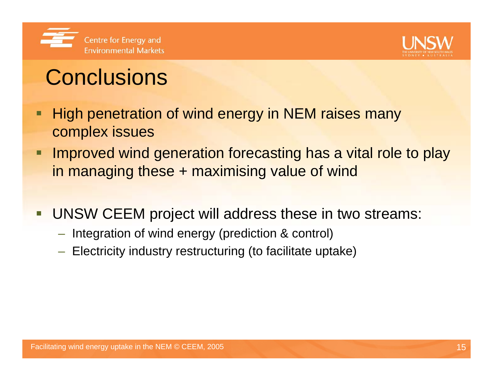![](_page_14_Picture_0.jpeg)

![](_page_14_Picture_1.jpeg)

# **Conclusions**

- П High penetration of wind energy in NEM raises many complex issues
- $\blacksquare$  Improved wind generation forecasting has a vital role to play in managing these + maximising value of wind
- $\overline{\phantom{a}}$  UNSW CEEM project will address these in two streams:
	- $-$  Integration of wind energy (prediction & control)
	- Electricity industry restructuring (to facilitate uptake)